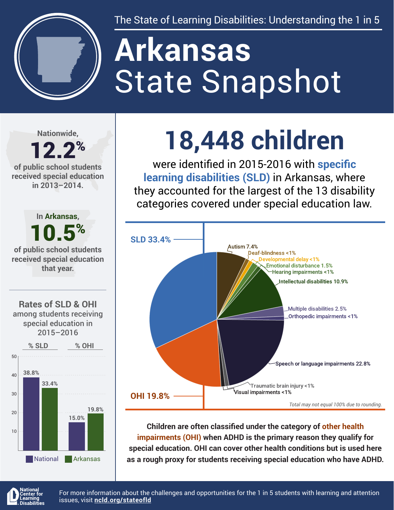

The State of Learning Disabilities: Understanding the 1 in 5

# State Snapshot **Arkansas**

**Nationwide,**

#### 12.2% **of public school students received special education in 2013–2014.**



**that year.**





## **18,448 children**

were identified in 2015-2016 with **specific learning disabilities (SLD)** in Arkansas, where they accounted for the largest of the 13 disability categories covered under special education law.



**Children are often classified under the category of other health impairments (OHI) when ADHD is the primary reason they qualify for special education. OHI can cover other health conditions but is used here as a rough proxy for students receiving special education who have ADHD.**



For more information about the challenges and opportunities for the 1 in 5 students with learning and attention issues, visit **[ncld.org/stateofld](http://ncld.org/stateofld)**